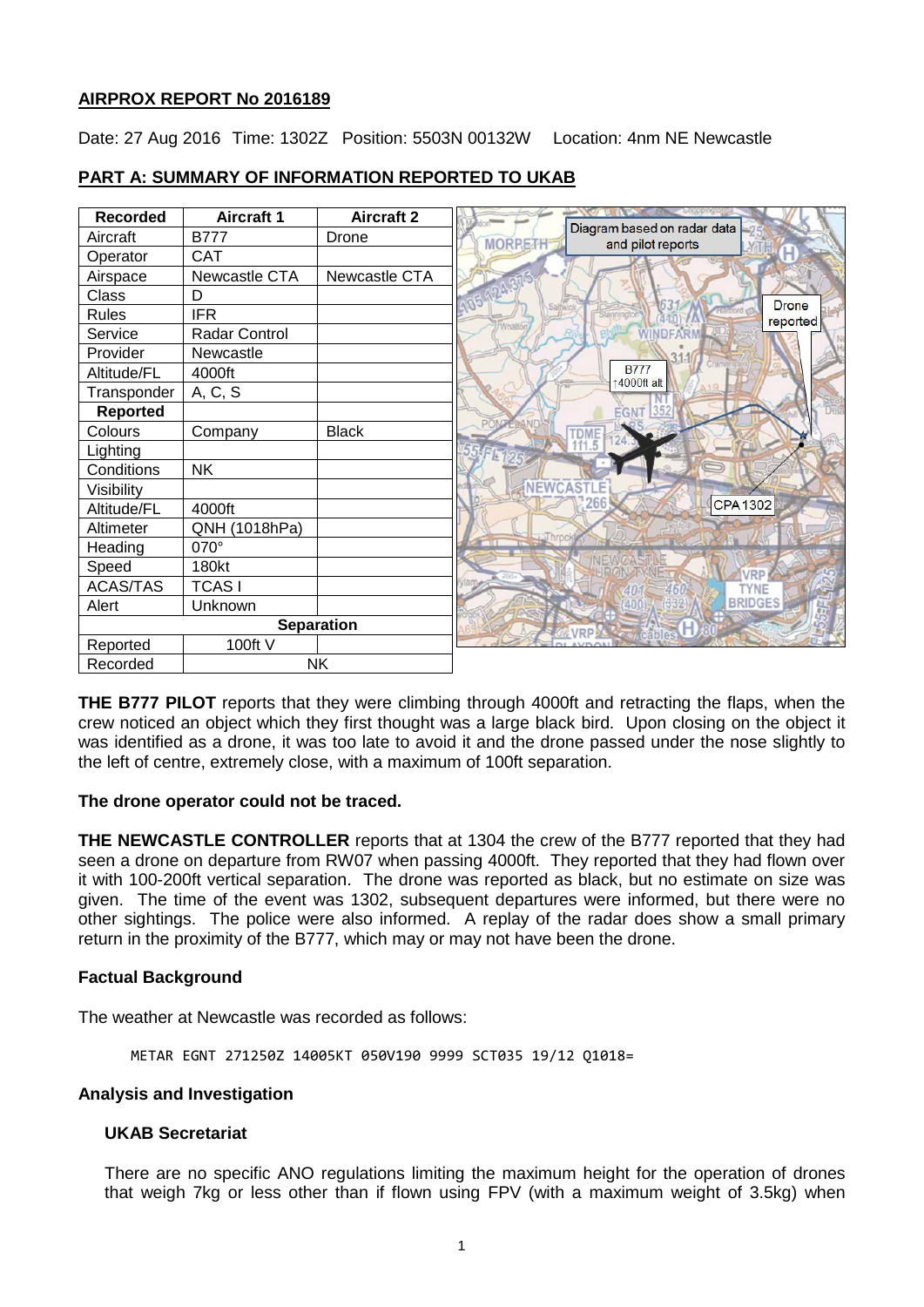## **AIRPROX REPORT No 2016189**

Date: 27 Aug 2016 Time: 1302Z Position: 5503N 00132W Location: 4nm NE Newcastle

| <b>Recorded</b>   | <b>Aircraft 1</b> | <b>Aircraft 2</b> |                                                                    |
|-------------------|-------------------|-------------------|--------------------------------------------------------------------|
| Aircraft          | <b>B777</b>       | Drone             | Diagram based on radar data<br><b>MORPETH</b><br>and pilot reports |
| Operator          | <b>CAT</b>        |                   |                                                                    |
| Airspace          | Newcastle CTA     | Newcastle CTA     |                                                                    |
| Class             | D                 |                   | <b>Drone</b>                                                       |
| <b>Rules</b>      | <b>IFR</b>        |                   | reported                                                           |
| Service           | Radar Control     |                   | Whalto<br>DEARN                                                    |
| Provider          | Newcastle         |                   |                                                                    |
| Altitude/FL       | 4000ft            |                   | <b>B777</b><br>14000ft alt                                         |
| Transponder       | A, C, S           |                   |                                                                    |
| <b>Reported</b>   |                   |                   | 352<br><b>EGNT</b>                                                 |
| Colours           | Company           | <b>Black</b>      | TDME<br>111.5                                                      |
| Lighting          |                   |                   |                                                                    |
| Conditions        | <b>NK</b>         |                   |                                                                    |
| Visibility        |                   |                   | NEWCASTLE                                                          |
| Altitude/FL       | 4000ft            |                   | 266<br><b>CPA1302</b>                                              |
| Altimeter         | QNH (1018hPa)     |                   |                                                                    |
| Heading           | 070°              |                   |                                                                    |
| Speed             | 180kt             |                   |                                                                    |
| <b>ACAS/TAS</b>   | <b>TCASI</b>      |                   | <b>TYNE</b><br>46                                                  |
| Alert             | Unknown           |                   | <b>BRIDGES</b>                                                     |
| <b>Separation</b> |                   |                   | VDD                                                                |
| Reported          | 100ft V           |                   |                                                                    |
| Recorded          |                   | <b>NK</b>         |                                                                    |

# **PART A: SUMMARY OF INFORMATION REPORTED TO UKAB**

**THE B777 PILOT** reports that they were climbing through 4000ft and retracting the flaps, when the crew noticed an object which they first thought was a large black bird. Upon closing on the object it was identified as a drone, it was too late to avoid it and the drone passed under the nose slightly to the left of centre, extremely close, with a maximum of 100ft separation.

## **The drone operator could not be traced.**

**THE NEWCASTLE CONTROLLER** reports that at 1304 the crew of the B777 reported that they had seen a drone on departure from RW07 when passing 4000ft. They reported that they had flown over it with 100-200ft vertical separation. The drone was reported as black, but no estimate on size was given. The time of the event was 1302, subsequent departures were informed, but there were no other sightings. The police were also informed. A replay of the radar does show a small primary return in the proximity of the B777, which may or may not have been the drone.

## **Factual Background**

The weather at Newcastle was recorded as follows:

METAR EGNT 271250Z 14005KT 050V190 9999 SCT035 19/12 Q1018=

#### **Analysis and Investigation**

#### **UKAB Secretariat**

There are no specific ANO regulations limiting the maximum height for the operation of drones that weigh 7kg or less other than if flown using FPV (with a maximum weight of 3.5kg) when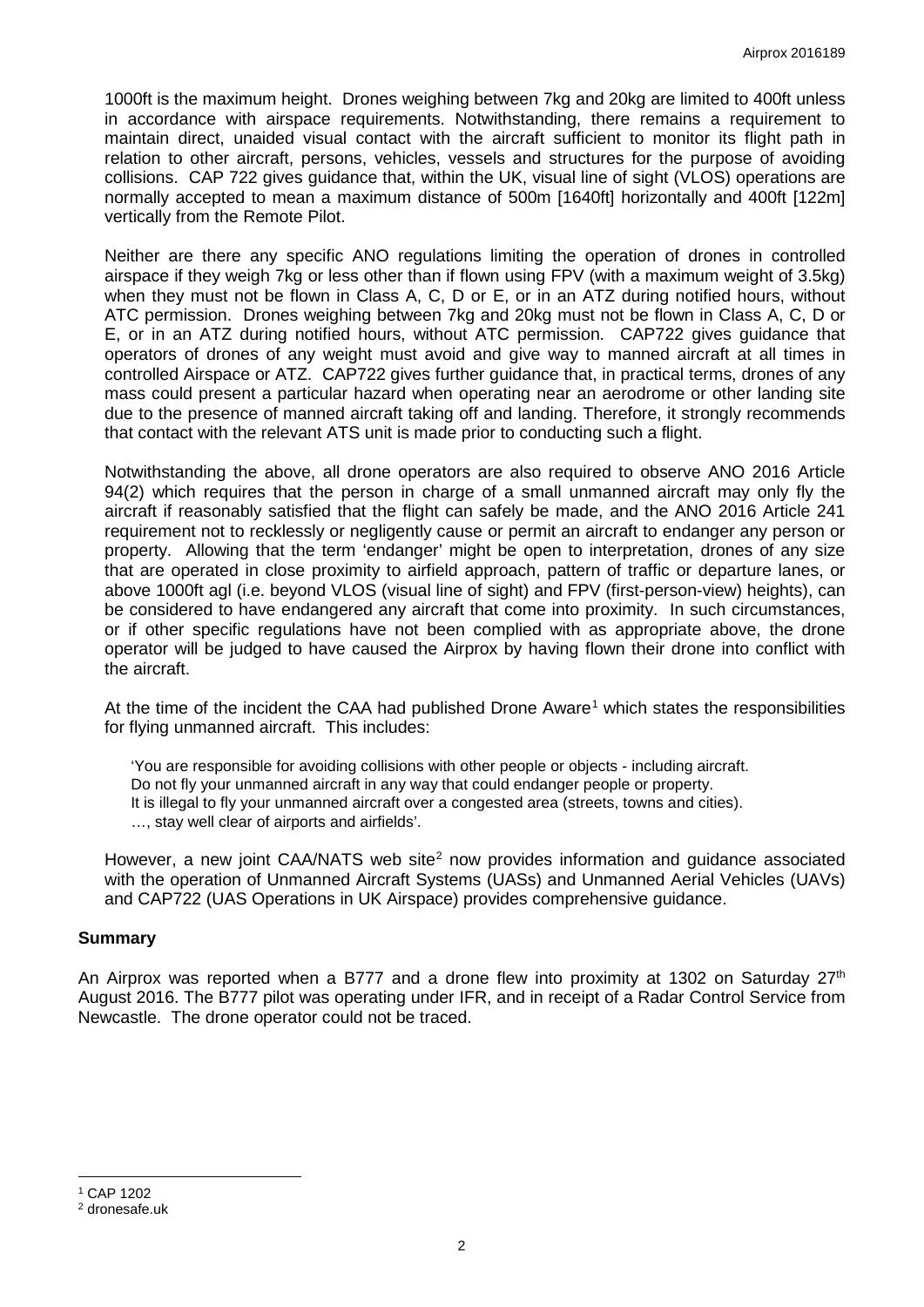1000ft is the maximum height. Drones weighing between 7kg and 20kg are limited to 400ft unless in accordance with airspace requirements. Notwithstanding, there remains a requirement to maintain direct, unaided visual contact with the aircraft sufficient to monitor its flight path in relation to other aircraft, persons, vehicles, vessels and structures for the purpose of avoiding collisions. CAP 722 gives guidance that, within the UK, visual line of sight (VLOS) operations are normally accepted to mean a maximum distance of 500m [1640ft] horizontally and 400ft [122m] vertically from the Remote Pilot.

Neither are there any specific ANO regulations limiting the operation of drones in controlled airspace if they weigh 7kg or less other than if flown using FPV (with a maximum weight of 3.5kg) when they must not be flown in Class A, C, D or E, or in an ATZ during notified hours, without ATC permission. Drones weighing between 7kg and 20kg must not be flown in Class A, C, D or E, or in an ATZ during notified hours, without ATC permission. CAP722 gives guidance that operators of drones of any weight must avoid and give way to manned aircraft at all times in controlled Airspace or ATZ. CAP722 gives further guidance that, in practical terms, drones of any mass could present a particular hazard when operating near an aerodrome or other landing site due to the presence of manned aircraft taking off and landing. Therefore, it strongly recommends that contact with the relevant ATS unit is made prior to conducting such a flight.

Notwithstanding the above, all drone operators are also required to observe ANO 2016 Article 94(2) which requires that the person in charge of a small unmanned aircraft may only fly the aircraft if reasonably satisfied that the flight can safely be made, and the ANO 2016 Article 241 requirement not to recklessly or negligently cause or permit an aircraft to endanger any person or property. Allowing that the term 'endanger' might be open to interpretation, drones of any size that are operated in close proximity to airfield approach, pattern of traffic or departure lanes, or above 1000ft agl (i.e. beyond VLOS (visual line of sight) and FPV (first-person-view) heights), can be considered to have endangered any aircraft that come into proximity. In such circumstances, or if other specific regulations have not been complied with as appropriate above, the drone operator will be judged to have caused the Airprox by having flown their drone into conflict with the aircraft.

At the time of the incident the CAA had published Drone Aware<sup>[1](#page-1-0)</sup> which states the responsibilities for flying unmanned aircraft. This includes:

'You are responsible for avoiding collisions with other people or objects - including aircraft. Do not fly your unmanned aircraft in any way that could endanger people or property. It is illegal to fly your unmanned aircraft over a congested area (streets, towns and cities). …, stay well clear of airports and airfields'.

However, a new joint CAA/NATS web site<sup>[2](#page-1-1)</sup> now provides information and quidance associated with the operation of Unmanned Aircraft Systems (UASs) and Unmanned Aerial Vehicles (UAVs) and CAP722 (UAS Operations in UK Airspace) provides comprehensive guidance.

## **Summary**

An Airprox was reported when a B777 and a drone flew into proximity at 1302 on Saturday  $27<sup>th</sup>$ August 2016. The B777 pilot was operating under IFR, and in receipt of a Radar Control Service from Newcastle. The drone operator could not be traced.

<span id="page-1-0"></span><sup>1</sup> CAP 1202

l

<span id="page-1-1"></span><sup>2</sup> dronesafe.uk